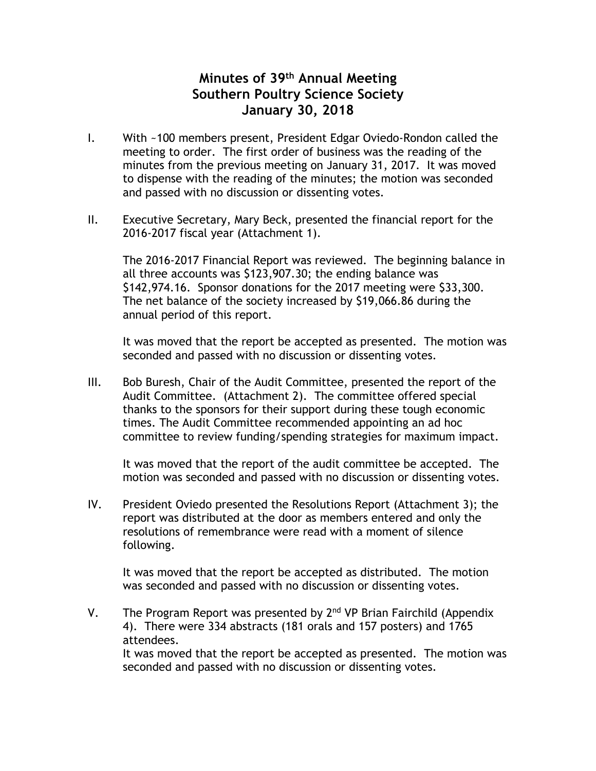## **Minutes of 39th Annual Meeting Southern Poultry Science Society January 30, 2018**

- I. With ~100 members present, President Edgar Oviedo-Rondon called the meeting to order. The first order of business was the reading of the minutes from the previous meeting on January 31, 2017. It was moved to dispense with the reading of the minutes; the motion was seconded and passed with no discussion or dissenting votes.
- II. Executive Secretary, Mary Beck, presented the financial report for the 2016-2017 fiscal year (Attachment 1).

The 2016-2017 Financial Report was reviewed. The beginning balance in all three accounts was \$123,907.30; the ending balance was \$142,974.16. Sponsor donations for the 2017 meeting were \$33,300. The net balance of the society increased by \$19,066.86 during the annual period of this report.

It was moved that the report be accepted as presented. The motion was seconded and passed with no discussion or dissenting votes.

III. Bob Buresh, Chair of the Audit Committee, presented the report of the Audit Committee. (Attachment 2). The committee offered special thanks to the sponsors for their support during these tough economic times. The Audit Committee recommended appointing an ad hoc committee to review funding/spending strategies for maximum impact.

It was moved that the report of the audit committee be accepted. The motion was seconded and passed with no discussion or dissenting votes.

IV. President Oviedo presented the Resolutions Report (Attachment 3); the report was distributed at the door as members entered and only the resolutions of remembrance were read with a moment of silence following.

It was moved that the report be accepted as distributed. The motion was seconded and passed with no discussion or dissenting votes.

V. The Program Report was presented by  $2<sup>nd</sup>$  VP Brian Fairchild (Appendix 4). There were 334 abstracts (181 orals and 157 posters) and 1765 attendees. It was moved that the report be accepted as presented. The motion was

seconded and passed with no discussion or dissenting votes.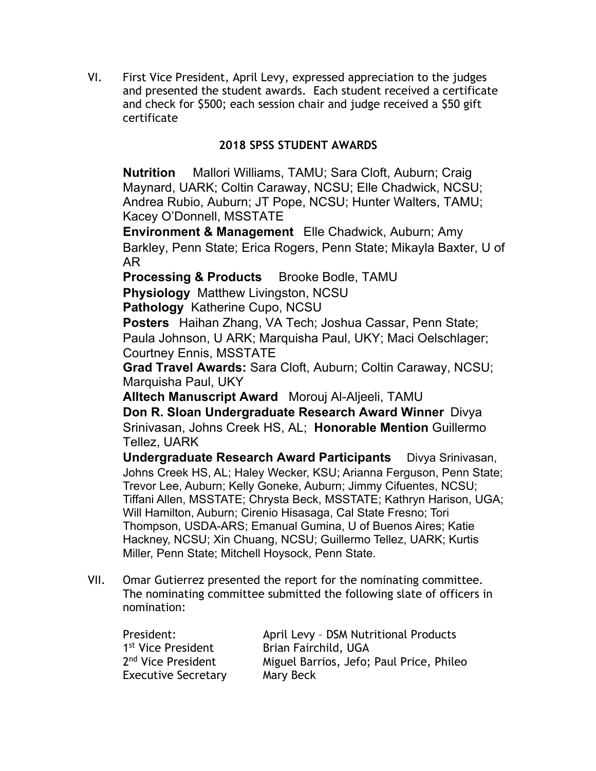VI. First Vice President, April Levy, expressed appreciation to the judges and presented the student awards. Each student received a certificate and check for \$500; each session chair and judge received a \$50 gift certificate

## **2018 SPSS STUDENT AWARDS**

**Nutrition** Mallori Williams, TAMU; Sara Cloft, Auburn; Craig Maynard, UARK; Coltin Caraway, NCSU; Elle Chadwick, NCSU; Andrea Rubio, Auburn; JT Pope, NCSU; Hunter Walters, TAMU; Kacey O'Donnell, MSSTATE

**Environment & Management** Elle Chadwick, Auburn; Amy Barkley, Penn State; Erica Rogers, Penn State; Mikayla Baxter, U of AR

**Processing & Products** Brooke Bodle, TAMU

**Physiology** Matthew Livingston, NCSU

**Pathology** Katherine Cupo, NCSU

**Posters** Haihan Zhang, VA Tech; Joshua Cassar, Penn State; Paula Johnson, U ARK; Marquisha Paul, UKY; Maci Oelschlager; Courtney Ennis, MSSTATE

**Grad Travel Awards:** Sara Cloft, Auburn; Coltin Caraway, NCSU; Marquisha Paul, UKY

**Alltech Manuscript Award** Morouj Al-Aljeeli, TAMU

**Don R. Sloan Undergraduate Research Award Winner** Divya Srinivasan, Johns Creek HS, AL; **Honorable Mention** Guillermo Tellez, UARK

**Undergraduate Research Award Participants** Divya Srinivasan, Johns Creek HS, AL; Haley Wecker, KSU; Arianna Ferguson, Penn State; Trevor Lee, Auburn; Kelly Goneke, Auburn; Jimmy Cifuentes, NCSU; Tiffani Allen, MSSTATE; Chrysta Beck, MSSTATE; Kathryn Harison, UGA; Will Hamilton, Auburn; Cirenio Hisasaga, Cal State Fresno; Tori Thompson, USDA-ARS; Emanual Gumina, U of Buenos Aires; Katie Hackney, NCSU; Xin Chuang, NCSU; Guillermo Tellez, UARK; Kurtis Miller, Penn State; Mitchell Hoysock, Penn State.

VII. Omar Gutierrez presented the report for the nominating committee. The nominating committee submitted the following slate of officers in nomination:

| President:                     | April Levy - DSM Nutritional Products    |  |
|--------------------------------|------------------------------------------|--|
| 1 <sup>st</sup> Vice President | Brian Fairchild, UGA                     |  |
| 2 <sup>nd</sup> Vice President | Miguel Barrios, Jefo; Paul Price, Phileo |  |
| <b>Executive Secretary</b>     | Mary Beck                                |  |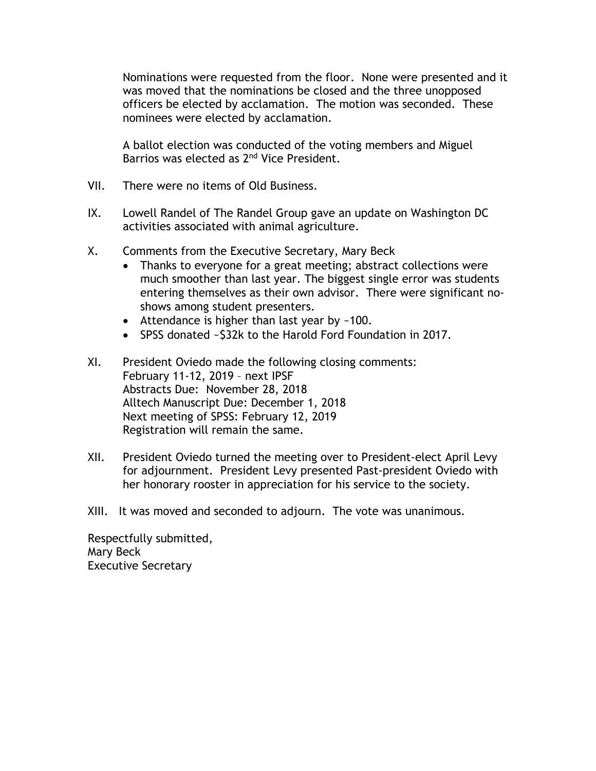Nominations were requested from the floor. None were presented and it was moved that the nominations be closed and the three unopposed officers be elected by acclamation. The motion was seconded. These nominees were elected by acclamation.

A ballot election was conducted of the voting members and Miguel Barrios was elected as 2<sup>nd</sup> Vice President.

- VII. There were no items of Old Business.
- IX. Lowell Randel of The Randel Group gave an update on Washington DC activities associated with animal agriculture.
- X. Comments from the Executive Secretary, Mary Beck
	- Thanks to everyone for a great meeting; abstract collections were much smoother than last year. The biggest single error was students entering themselves as their own advisor. There were significant noshows among student presenters.
	- Attendance is higher than last year by ~100.
	- SPSS donated ~\$32k to the Harold Ford Foundation in 2017.
- XI. President Oviedo made the following closing comments: February 11-12, 2019 – next IPSF Abstracts Due: November 28, 2018 Alltech Manuscript Due: December 1, 2018 Next meeting of SPSS: February 12, 2019 Registration will remain the same.
- XII. President Oviedo turned the meeting over to President-elect April Levy for adjournment. President Levy presented Past-president Oviedo with her honorary rooster in appreciation for his service to the society.
- XIII. It was moved and seconded to adjourn. The vote was unanimous.

Respectfully submitted, Mary Beck Executive Secretary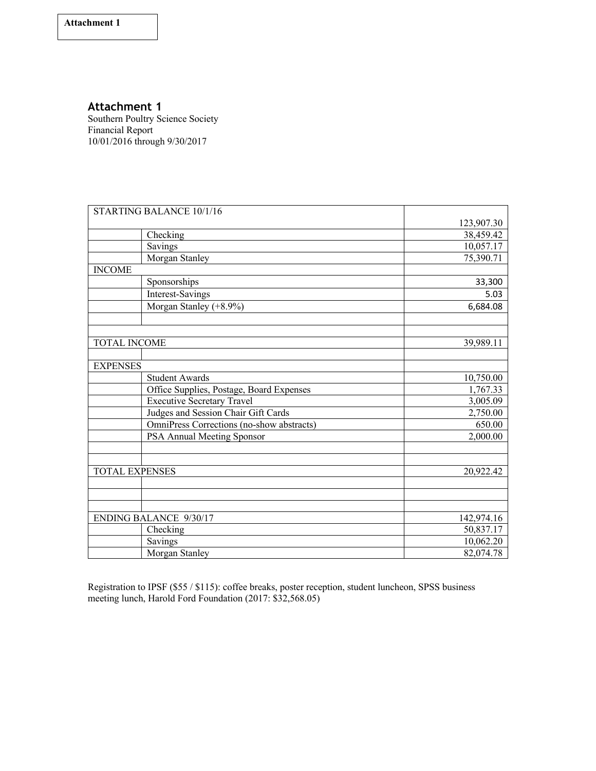### **Attachment 1**

Southern Poultry Science Society Financial Report 10/01/2016 through 9/30/2017

|                               | STARTING BALANCE 10/1/16                  |            |
|-------------------------------|-------------------------------------------|------------|
|                               |                                           | 123,907.30 |
|                               | Checking                                  | 38,459.42  |
|                               | Savings                                   | 10,057.17  |
|                               | Morgan Stanley                            | 75,390.71  |
| <b>INCOME</b>                 |                                           |            |
|                               | Sponsorships                              | 33,300     |
|                               | <b>Interest-Savings</b>                   | 5.03       |
|                               | Morgan Stanley (+8.9%)                    | 6,684.08   |
|                               |                                           |            |
|                               |                                           |            |
| <b>TOTAL INCOME</b>           |                                           | 39,989.11  |
|                               |                                           |            |
| <b>EXPENSES</b>               |                                           |            |
|                               | <b>Student Awards</b>                     | 10,750.00  |
|                               | Office Supplies, Postage, Board Expenses  | 1,767.33   |
|                               | <b>Executive Secretary Travel</b>         | 3,005.09   |
|                               | Judges and Session Chair Gift Cards       | 2,750.00   |
|                               | OmniPress Corrections (no-show abstracts) | 650.00     |
|                               | PSA Annual Meeting Sponsor                | 2,000.00   |
|                               |                                           |            |
|                               |                                           |            |
| TOTAL EXPENSES                |                                           | 20,922.42  |
|                               |                                           |            |
|                               |                                           |            |
|                               |                                           |            |
| <b>ENDING BALANCE 9/30/17</b> |                                           | 142,974.16 |
|                               | Checking                                  | 50,837.17  |
|                               | Savings                                   | 10,062.20  |
|                               | Morgan Stanley                            | 82,074.78  |

Registration to IPSF (\$55 / \$115): coffee breaks, poster reception, student luncheon, SPSS business meeting lunch, Harold Ford Foundation (2017: \$32,568.05)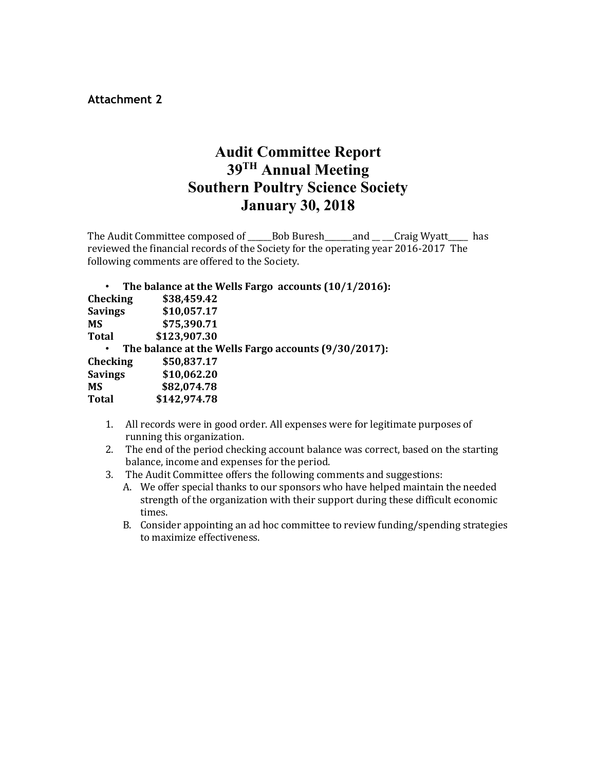**Attachment 2**

# **Audit Committee Report 39TH Annual Meeting Southern Poultry Science Society January 30, 2018**

The Audit Committee composed of \_\_\_\_\_Bob Buresh\_\_\_\_\_and \_\_ \_\_Craig Wyatt\_\_\_\_\_ has reviewed the financial records of the Society for the operating year  $2016-2017$  The following comments are offered to the Society.

|                                                      | The balance at the Wells Fargo accounts $(10/1/2016)$ : |  |
|------------------------------------------------------|---------------------------------------------------------|--|
| Checking                                             | \$38,459.42                                             |  |
| <b>Savings</b>                                       | \$10,057.17                                             |  |
| <b>MS</b>                                            | \$75,390.71                                             |  |
| <b>Total</b>                                         | \$123,907.30                                            |  |
| The balance at the Wells Fargo accounts (9/30/2017): |                                                         |  |
| Checking                                             | \$50,837.17                                             |  |
| <b>Savings</b>                                       | \$10,062.20                                             |  |
| <b>MS</b>                                            | \$82,074.78                                             |  |
| <b>Total</b>                                         | \$142,974.78                                            |  |

- 1. All records were in good order. All expenses were for legitimate purposes of running this organization.
- 2. The end of the period checking account balance was correct, based on the starting balance, income and expenses for the period.
- 3. The Audit Committee offers the following comments and suggestions:
	- A. We offer special thanks to our sponsors who have helped maintain the needed strength of the organization with their support during these difficult economic times.
	- B. Consider appointing an ad hoc committee to review funding/spending strategies to maximize effectiveness.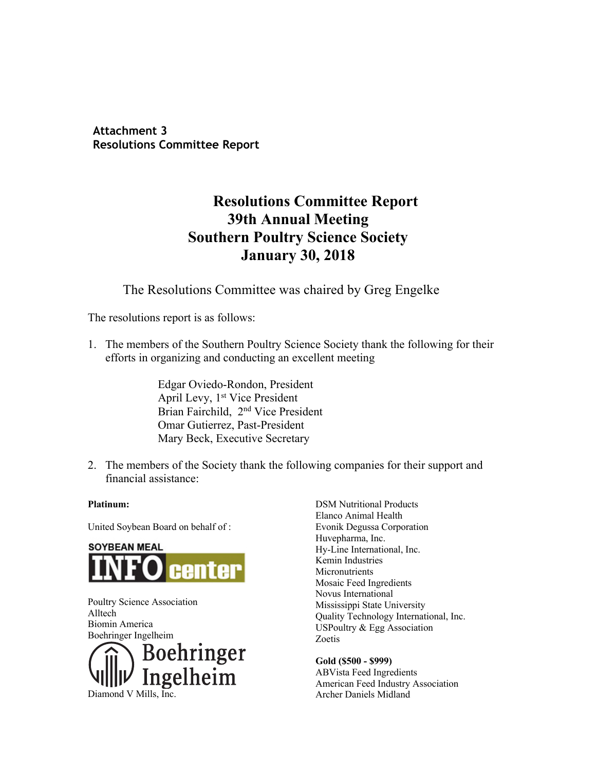**Attachment 3 Resolutions Committee Report**

# **Resolutions Committee Report 39th Annual Meeting Southern Poultry Science Society January 30, 2018**

The Resolutions Committee was chaired by Greg Engelke

The resolutions report is as follows:

1. The members of the Southern Poultry Science Society thank the following for their efforts in organizing and conducting an excellent meeting

> Edgar Oviedo-Rondon, President April Levy, 1<sup>st</sup> Vice President Brian Fairchild, 2nd Vice President Omar Gutierrez, Past-President Mary Beck, Executive Secretary

2. The members of the Society thank the following companies for their support and financial assistance:

#### **Platinum:**

United Soybean Board on behalf of :



Poultry Science Association Alltech Biomin America Boehringer Ingelheim



Elanco Animal Health Evonik Degussa Corporation Huvepharma, Inc. Hy-Line International, Inc. Kemin Industries **Micronutrients** Mosaic Feed Ingredients Novus International Mississippi State University Quality Technology International, Inc. USPoultry & Egg Association Zoetis

DSM Nutritional Products

**Gold (\$500 - \$999)** ABVista Feed Ingredients American Feed Industry Association Archer Daniels Midland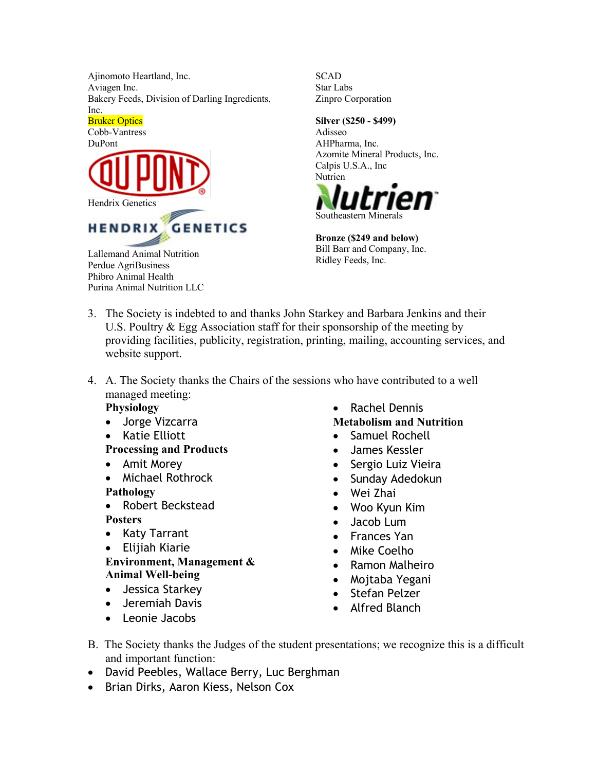Ajinomoto Heartland, Inc. Aviagen Inc. Bakery Feeds, Division of Darling Ingredients, Inc.



**SCAD** Star Labs Zinpro Corporation

#### **Silver (\$250 - \$499)**

Adisseo AHPharma, Inc. Azomite Mineral Products, Inc. Calpis U.S.A., Inc Nutrien



**Bronze (\$249 and below)** Bill Barr and Company, Inc. Ridley Feeds, Inc.

- 3. The Society is indebted to and thanks John Starkey and Barbara Jenkins and their U.S. Poultry & Egg Association staff for their sponsorship of the meeting by providing facilities, publicity, registration, printing, mailing, accounting services, and website support.
- 4. A. The Society thanks the Chairs of the sessions who have contributed to a well managed meeting:

### **Physiology**

Phibro Animal Health Purina Animal Nutrition LLC

- Jorge Vizcarra
- Katie Elliott
- **Processing and Products**
- Amit Morey
- Michael Rothrock

### **Pathology**

- Robert Beckstead **Posters**
- Katy Tarrant
- Elijiah Kiarie

**Environment, Management & Animal Well-being**

- Jessica Starkey
- Jeremiah Davis
- Leonie Jacobs

• Rachel Dennis

## **Metabolism and Nutrition**

- Samuel Rochell
- James Kessler
- Sergio Luiz Vieira
- Sunday Adedokun
- Wei Zhai
- Woo Kyun Kim
- Jacob Lum
- Frances Yan
- Mike Coelho
- Ramon Malheiro
- Mojtaba Yegani
- Stefan Pelzer
- Alfred Blanch
- B. The Society thanks the Judges of the student presentations; we recognize this is a difficult and important function:
- David Peebles, Wallace Berry, Luc Berghman
- Brian Dirks, Aaron Kiess, Nelson Cox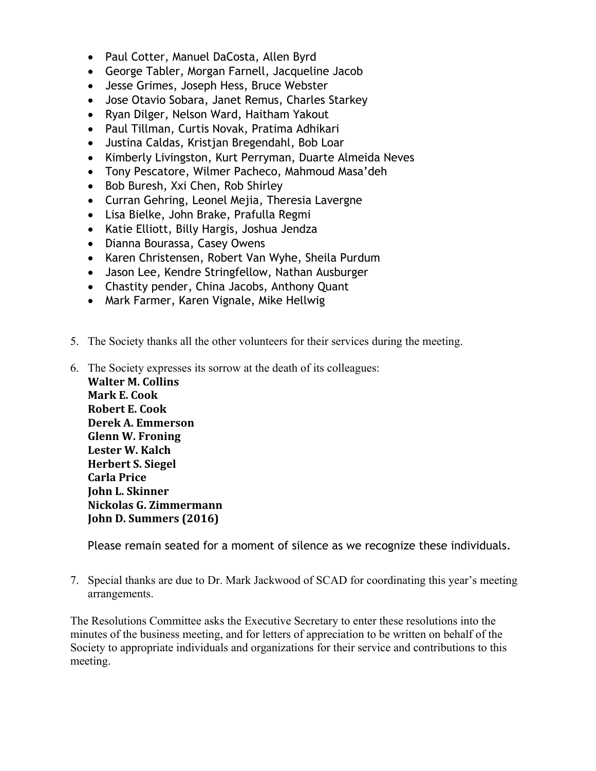- Paul Cotter, Manuel DaCosta, Allen Byrd
- George Tabler, Morgan Farnell, Jacqueline Jacob
- Jesse Grimes, Joseph Hess, Bruce Webster
- Jose Otavio Sobara, Janet Remus, Charles Starkey
- Ryan Dilger, Nelson Ward, Haitham Yakout
- Paul Tillman, Curtis Novak, Pratima Adhikari
- Justina Caldas, Kristjan Bregendahl, Bob Loar
- Kimberly Livingston, Kurt Perryman, Duarte Almeida Neves
- Tony Pescatore, Wilmer Pacheco, Mahmoud Masa'deh
- Bob Buresh, Xxi Chen, Rob Shirley
- Curran Gehring, Leonel Mejia, Theresia Lavergne
- Lisa Bielke, John Brake, Prafulla Regmi
- Katie Elliott, Billy Hargis, Joshua Jendza
- Dianna Bourassa, Casey Owens
- Karen Christensen, Robert Van Wyhe, Sheila Purdum
- Jason Lee, Kendre Stringfellow, Nathan Ausburger
- Chastity pender, China Jacobs, Anthony Quant
- Mark Farmer, Karen Vignale, Mike Hellwig
- 5. The Society thanks all the other volunteers for their services during the meeting.
- 6. The Society expresses its sorrow at the death of its colleagues:

**Walter M. Collins Mark E. Cook Robert E. Cook Derek A. Emmerson Glenn W. Froning** Lester W. Kalch **Herbert S. Siegel Carla Price John L. Skinner Nickolas G. Zimmermann John D. Summers (2016)** 

Please remain seated for a moment of silence as we recognize these individuals.

7. Special thanks are due to Dr. Mark Jackwood of SCAD for coordinating this year's meeting arrangements.

The Resolutions Committee asks the Executive Secretary to enter these resolutions into the minutes of the business meeting, and for letters of appreciation to be written on behalf of the Society to appropriate individuals and organizations for their service and contributions to this meeting.